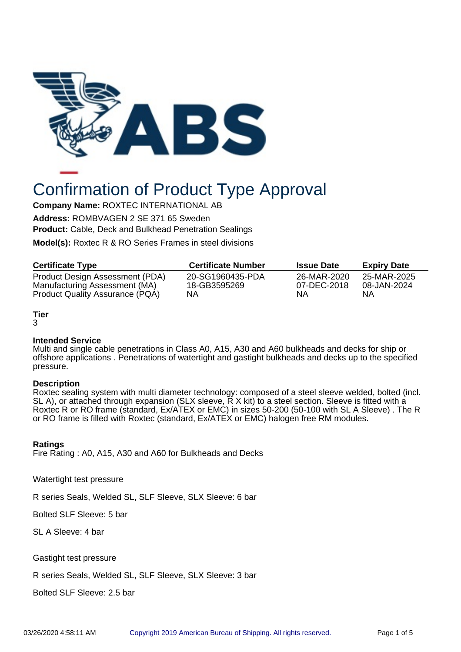

# Confirmation of Product Type Approval

**Company Name:** ROXTEC INTERNATIONAL AB

**Address:** ROMBVAGEN 2 SE 371 65 Sweden **Product:** Cable, Deck and Bulkhead Penetration Sealings

**Model(s):** Roxtec R & RO Series Frames in steel divisions

| <b>Certificate Type</b>         | <b>Certificate Number</b> | <b>Issue Date</b> | <b>Expiry Date</b> |
|---------------------------------|---------------------------|-------------------|--------------------|
| Product Design Assessment (PDA) | 20-SG1960435-PDA          | 26-MAR-2020       | 25-MAR-2025        |
| Manufacturing Assessment (MA)   | 18-GB3595269              | 07-DEC-2018       | 08-JAN-2024        |
| Product Quality Assurance (PQA) | ΝA                        | ΝA                | ΝA                 |

## **Tier**

#### 3

## **Intended Service**

Multi and single cable penetrations in Class A0, A15, A30 and A60 bulkheads and decks for ship or offshore applications . Penetrations of watertight and gastight bulkheads and decks up to the specified pressure.

#### **Description**

Roxtec sealing system with multi diameter technology: composed of a steel sleeve welded, bolted (incl. SL A), or attached through expansion (SLX sleeve,  $\breve{R}$  X kit) to a steel section. Sleeve is fitted with a Roxtec R or RO frame (standard, Ex/ATEX or EMC) in sizes 50-200 (50-100 with SL A Sleeve) . The R or RO frame is filled with Roxtec (standard, Ex/ATEX or EMC) halogen free RM modules.

## **Ratings**

Fire Rating : A0, A15, A30 and A60 for Bulkheads and Decks

Watertight test pressure

R series Seals, Welded SL, SLF Sleeve, SLX Sleeve: 6 bar

Bolted SLF Sleeve: 5 bar

SL A Sleeve: 4 bar

Gastight test pressure

R series Seals, Welded SL, SLF Sleeve, SLX Sleeve: 3 bar

Bolted SLF Sleeve: 2.5 bar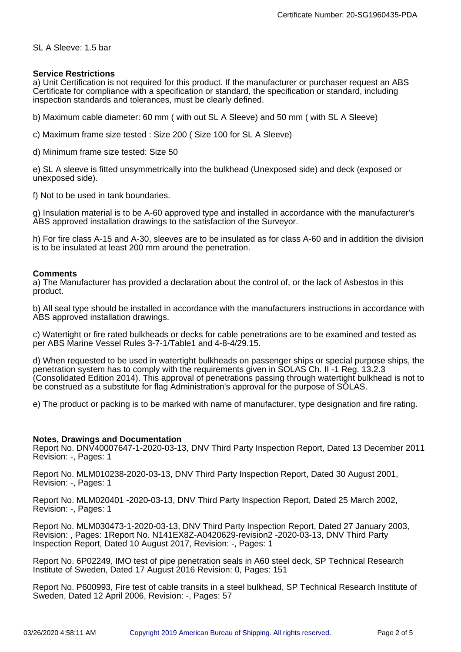## SL A Sleeve: 1.5 bar

#### **Service Restrictions**

a) Unit Certification is not required for this product. If the manufacturer or purchaser request an ABS Certificate for compliance with a specification or standard, the specification or standard, including inspection standards and tolerances, must be clearly defined.

b) Maximum cable diameter: 60 mm ( with out SL A Sleeve) and 50 mm ( with SL A Sleeve)

c) Maximum frame size tested : Size 200 ( Size 100 for SL A Sleeve)

d) Minimum frame size tested: Size 50

e) SL A sleeve is fitted unsymmetrically into the bulkhead (Unexposed side) and deck (exposed or unexposed side).

f) Not to be used in tank boundaries.

g) Insulation material is to be A-60 approved type and installed in accordance with the manufacturer's ABS approved installation drawings to the satisfaction of the Surveyor.

h) For fire class A-15 and A-30, sleeves are to be insulated as for class A-60 and in addition the division is to be insulated at least 200 mm around the penetration.

#### **Comments**

a) The Manufacturer has provided a declaration about the control of, or the lack of Asbestos in this product.

b) All seal type should be installed in accordance with the manufacturers instructions in accordance with ABS approved installation drawings.

c) Watertight or fire rated bulkheads or decks for cable penetrations are to be examined and tested as per ABS Marine Vessel Rules 3-7-1/Table1 and 4-8-4/29.15.

d) When requested to be used in watertight bulkheads on passenger ships or special purpose ships, the penetration system has to comply with the requirements given in SOLAS Ch. II -1 Reg. 13.2.3 (Consolidated Edition 2014). This approval of penetrations passing through watertight bulkhead is not to be construed as a substitute for flag Administration's approval for the purpose of SOLAS.

e) The product or packing is to be marked with name of manufacturer, type designation and fire rating.

## **Notes, Drawings and Documentation**

Report No. DNV40007647-1-2020-03-13, DNV Third Party Inspection Report, Dated 13 December 2011 Revision: -, Pages: 1

Report No. MLM010238-2020-03-13, DNV Third Party Inspection Report, Dated 30 August 2001, Revision: -, Pages: 1

Report No. MLM020401 -2020-03-13, DNV Third Party Inspection Report, Dated 25 March 2002, Revision: -, Pages: 1

Report No. MLM030473-1-2020-03-13, DNV Third Party Inspection Report, Dated 27 January 2003, Revision: , Pages: 1Report No. N141EX8Z-A0420629-revision2 -2020-03-13, DNV Third Party Inspection Report, Dated 10 August 2017, Revision: -, Pages: 1

Report No. 6P02249, IMO test of pipe penetration seals in A60 steel deck, SP Technical Research Institute of Sweden, Dated 17 August 2016 Revision: 0, Pages: 151

Report No. P600993, Fire test of cable transits in a steel bulkhead, SP Technical Research Institute of Sweden, Dated 12 April 2006, Revision: -, Pages: 57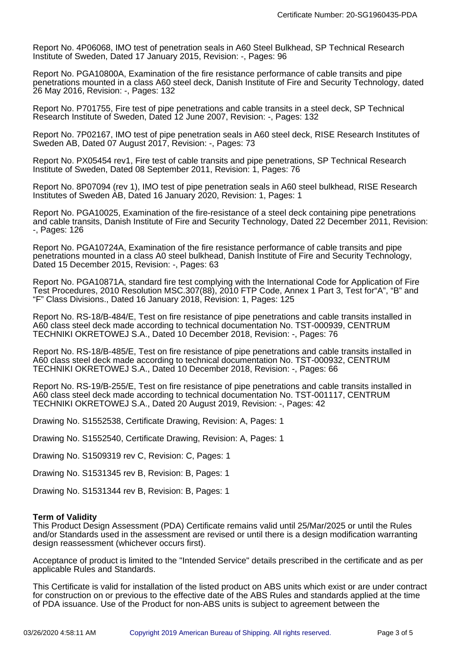Report No. 4P06068, IMO test of penetration seals in A60 Steel Bulkhead, SP Technical Research Institute of Sweden, Dated 17 January 2015, Revision: -, Pages: 96

Report No. PGA10800A, Examination of the fire resistance performance of cable transits and pipe penetrations mounted in a class A60 steel deck, Danish Institute of Fire and Security Technology, dated 26 May 2016, Revision: -, Pages: 132

Report No. P701755, Fire test of pipe penetrations and cable transits in a steel deck, SP Technical Research Institute of Sweden, Dated 12 June 2007, Revision: -, Pages: 132

Report No. 7P02167, IMO test of pipe penetration seals in A60 steel deck, RISE Research Institutes of Sweden AB, Dated 07 August 2017, Revision: -, Pages: 73

Report No. PX05454 rev1, Fire test of cable transits and pipe penetrations, SP Technical Research Institute of Sweden, Dated 08 September 2011, Revision: 1, Pages: 76

Report No. 8P07094 (rev 1), IMO test of pipe penetration seals in A60 steel bulkhead, RISE Research Institutes of Sweden AB, Dated 16 January 2020, Revision: 1, Pages: 1

Report No. PGA10025, Examination of the fire-resistance of a steel deck containing pipe penetrations and cable transits, Danish Institute of Fire and Security Technology, Dated 22 December 2011, Revision: -, Pages: 126

Report No. PGA10724A, Examination of the fire resistance performance of cable transits and pipe penetrations mounted in a class A0 steel bulkhead, Danish Institute of Fire and Security Technology, Dated 15 December 2015, Revision: -, Pages: 63

Report No. PGA10871A, standard fire test complying with the International Code for Application of Fire Test Procedures, 2010 Resolution MSC.307(88), 2010 FTP Code, Annex 1 Part 3, Test for"A", "B" and "F" Class Divisions., Dated 16 January 2018, Revision: 1, Pages: 125

Report No. RS-18/B-484/E, Test on fire resistance of pipe penetrations and cable transits installed in A60 class steel deck made according to technical documentation No. TST-000939, CENTRUM TECHNIKI OKRETOWEJ S.A., Dated 10 December 2018, Revision: -, Pages: 76

Report No. RS-18/B-485/E, Test on fire resistance of pipe penetrations and cable transits installed in A60 class steel deck made according to technical documentation No. TST-000932, CENTRUM TECHNIKI OKRETOWEJ S.A., Dated 10 December 2018, Revision: -, Pages: 66

Report No. RS-19/B-255/E, Test on fire resistance of pipe penetrations and cable transits installed in A60 class steel deck made according to technical documentation No. TST-001117, CENTRUM TECHNIKI OKRETOWEJ S.A., Dated 20 August 2019, Revision: -, Pages: 42

Drawing No. S1552538, Certificate Drawing, Revision: A, Pages: 1

Drawing No. S1552540, Certificate Drawing, Revision: A, Pages: 1

Drawing No. S1509319 rev C, Revision: C, Pages: 1

Drawing No. S1531345 rev B, Revision: B, Pages: 1

Drawing No. S1531344 rev B, Revision: B, Pages: 1

#### **Term of Validity**

This Product Design Assessment (PDA) Certificate remains valid until 25/Mar/2025 or until the Rules and/or Standards used in the assessment are revised or until there is a design modification warranting design reassessment (whichever occurs first).

Acceptance of product is limited to the "Intended Service" details prescribed in the certificate and as per applicable Rules and Standards.

This Certificate is valid for installation of the listed product on ABS units which exist or are under contract for construction on or previous to the effective date of the ABS Rules and standards applied at the time of PDA issuance. Use of the Product for non-ABS units is subject to agreement between the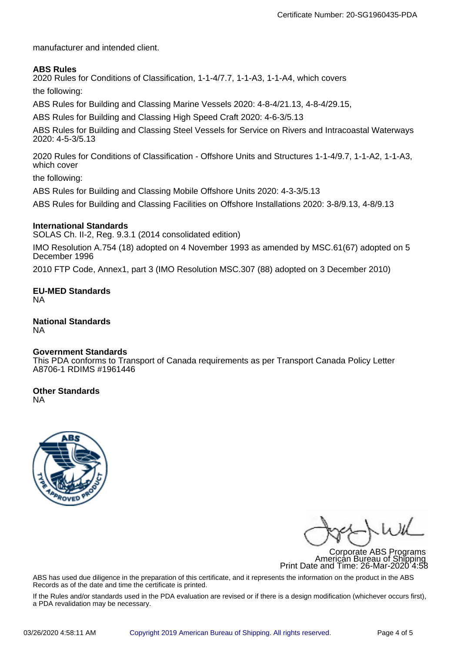manufacturer and intended client.

## **ABS Rules**

2020 Rules for Conditions of Classification, 1-1-4/7.7, 1-1-A3, 1-1-A4, which covers

the following:

ABS Rules for Building and Classing Marine Vessels 2020: 4-8-4/21.13, 4-8-4/29.15,

ABS Rules for Building and Classing High Speed Craft 2020: 4-6-3/5.13

ABS Rules for Building and Classing Steel Vessels for Service on Rivers and Intracoastal Waterways 2020: 4-5-3/5.13

2020 Rules for Conditions of Classification - Offshore Units and Structures 1-1-4/9.7, 1-1-A2, 1-1-A3, which cover

the following:

ABS Rules for Building and Classing Mobile Offshore Units 2020: 4-3-3/5.13

ABS Rules for Building and Classing Facilities on Offshore Installations 2020: 3-8/9.13, 4-8/9.13

#### **International Standards**

SOLAS Ch. II-2, Reg. 9.3.1 (2014 consolidated edition)

IMO Resolution A.754 (18) adopted on 4 November 1993 as amended by MSC.61(67) adopted on 5 December 1996

2010 FTP Code, Annex1, part 3 (IMO Resolution MSC.307 (88) adopted on 3 December 2010)

**EU-MED Standards** NA

**National Standards** NA

#### **Government Standards**

This PDA conforms to Transport of Canada requirements as per Transport Canada Policy Letter A8706-1 RDIMS #1961446

## **Other Standards**

NA



Corporate ABS Programs American Bureau of Shipping Print Date and Time: 26-Mar-2020 4:58

ABS has used due diligence in the preparation of this certificate, and it represents the information on the product in the ABS Records as of the date and time the certificate is printed.

If the Rules and/or standards used in the PDA evaluation are revised or if there is a design modification (whichever occurs first), a PDA revalidation may be necessary.